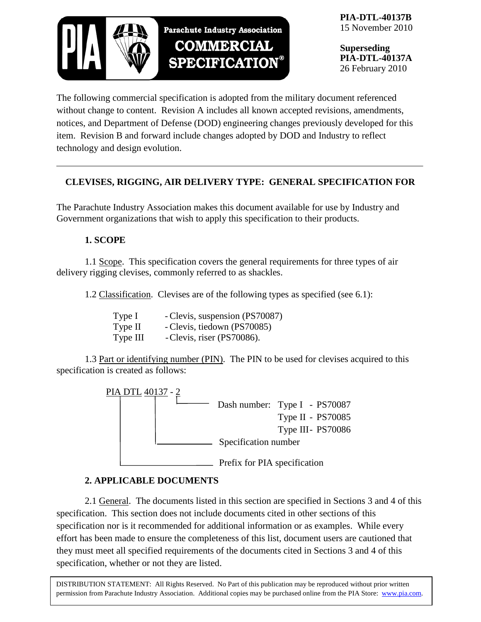

**PIA-DTL-40137B** 15 November 2010

**Superseding PIA-DTL-40137A** 26 February 2010

The following commercial specification is adopted from the military document referenced without change to content. Revision A includes all known accepted revisions, amendments, notices, and Department of Defense (DOD) engineering changes previously developed for this item. Revision B and forward include changes adopted by DOD and Industry to reflect technology and design evolution.

## **CLEVISES, RIGGING, AIR DELIVERY TYPE: GENERAL SPECIFICATION FOR**

The Parachute Industry Association makes this document available for use by Industry and Government organizations that wish to apply this specification to their products.

## **1. SCOPE**

1.1 Scope. This specification covers the general requirements for three types of air delivery rigging clevises, commonly referred to as shackles.

1.2 Classification. Clevises are of the following types as specified (see 6.1):

| Type I   | - Clevis, suspension (PS70087) |
|----------|--------------------------------|
| Type II  | - Clevis, tiedown (PS70085)    |
| Type III | - Clevis, riser (PS70086).     |

1.3 Part or identifying number (PIN). The PIN to be used for clevises acquired to this specification is created as follows:



## **2. APPLICABLE DOCUMENTS**

2.1 General. The documents listed in this section are specified in Sections 3 and 4 of this specification. This section does not include documents cited in other sections of this specification nor is it recommended for additional information or as examples. While every effort has been made to ensure the completeness of this list, document users are cautioned that they must meet all specified requirements of the documents cited in Sections 3 and 4 of this specification, whether or not they are listed.

DISTRIBUTION STATEMENT: All Rights Reserved. No Part of this publication may be reproduced without prior written permission from Parachute Industry Association. Additional copies may be purchased online from the PIA Store: [www.pia.com.](http://www.pia.com/)